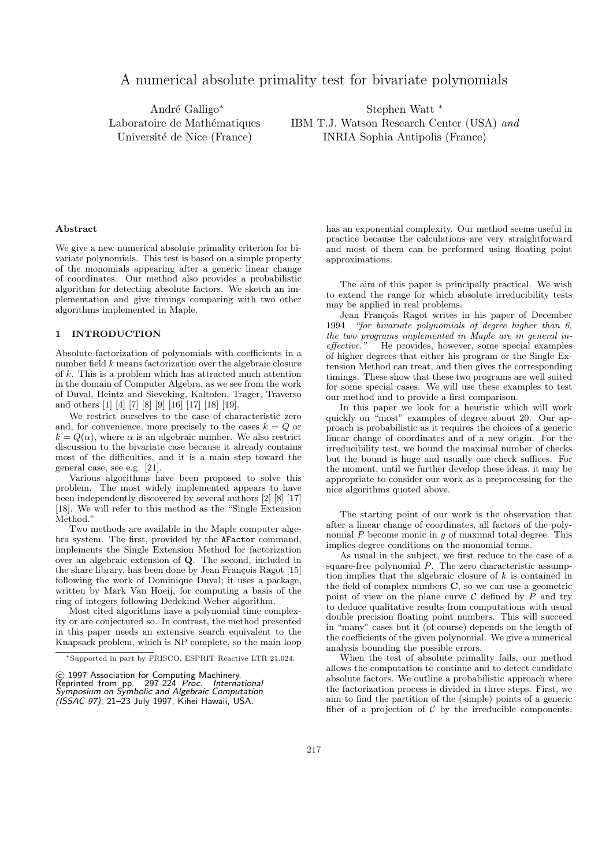# A numerical absolute primality test for bivariate polynomials

André Galligo<sup>\*</sup> Laboratoire de Mathématiques Université de Nice (France)

Stephen Watt <sup>∗</sup> IBM T.J. Watson Research Center (USA) and INRIA Sophia Antipolis (France)

#### Abstract

We give a new numerical absolute primality criterion for bivariate polynomials. This test is based on a simple property of the monomials appearing after a generic linear change of coordinates. Our method also provides a probabilistic algorithm for detecting absolute factors. We sketch an implementation and give timings comparing with two other algorithms implemented in Maple.

# 1 INTRODUCTION

Absolute factorization of polynomials with coefficients in a number field  $k$  means factorization over the algebraic closure of k. This is a problem which has attracted much attention in the domain of Computer Algebra, as we see from the work of Duval, Heintz and Sieveking, Kaltofen, Trager, Traverso and others [1] [4] [7] [8] [9] [16] [17] [18] [19].

We restrict ourselves to the case of characteristic zero and, for convenience, more precisely to the cases  $k = Q$  or  $k = Q(\alpha)$ , where  $\alpha$  is an algebraic number. We also restrict discussion to the bivariate case because it already contains most of the difficulties, and it is a main step toward the general case, see e.g. [21].

Various algorithms have been proposed to solve this problem. The most widely implemented appears to have been independently discovered by several authors [2] [8] [17] [18]. We will refer to this method as the "Single Extension Method."

Two methods are available in the Maple computer algebra system. The first, provided by the AFactor command, implements the Single Extension Method for factorization over an algebraic extension of Q. The second, included in the share library, has been done by Jean François Ragot [15] following the work of Dominique Duval; it uses a package, written by Mark Van Hoeij, for computing a basis of the ring of integers following Dedekind-Weber algorithm.

Most cited algorithms have a polynomial time complexity or are conjectured so. In contrast, the method presented in this paper needs an extensive search equivalent to the Knapsack problem, which is NP complete, so the main loop has an exponential complexity. Our method seems useful in practice because the calculations are very straightforward and most of them can be performed using floating point approximations.

The aim of this paper is principally practical. We wish to extend the range for which absolute irreducibility tests may be applied in real problems.

Jean François Ragot writes in his paper of December 1994 "for bivariate polynomials of degree higher than 6, the two programs implemented in Maple are in general ineffective." He provides, however, some special examples of higher degrees that either his program or the Single Extension Method can treat, and then gives the corresponding timings. These show that these two programs are well suited for some special cases. We will use these examples to test our method and to provide a first comparison.

In this paper we look for a heuristic which will work quickly on "most" examples of degree about 20. Our approach is probabilistic as it requires the choices of a generic linear change of coordinates and of a new origin. For the irreducibility test, we bound the maximal number of checks but the bound is huge and usually one check suffices. For the moment, until we further develop these ideas, it may be appropriate to consider our work as a preprocessing for the nice algorithms quoted above.

The starting point of our work is the observation that after a linear change of coordinates, all factors of the polynomial  $P$  become monic in  $y$  of maximal total degree. This implies degree conditions on the monomial terms.

As usual in the subject, we first reduce to the case of a square-free polynomial P. The zero characteristic assumption implies that the algebraic closure of  $k$  is contained in the field of complex numbers C, so we can use a geometric point of view on the plane curve  $\mathcal C$  defined by  $P$  and try to deduce qualitative results from computations with usual double precision floating point numbers. This will succeed in "many" cases but it (of course) depends on the length of the coefficients of the given polynomial. We give a numerical analysis bounding the possible errors.

When the test of absolute primality fails, our method allows the computation to continue and to detect candidate absolute factors. We outline a probabilistic approach where the factorization process is divided in three steps. First, we aim to find the partition of the (simple) points of a generic fiber of a projection of  $\mathcal C$  by the irreducible components.

<sup>∗</sup>Supported in part by FRISCO, ESPRIT Reactive LTR 21.024.

<sup>© 1997</sup> Association for Computing Machinery.<br>Reprinted from pp. 297-224 *Proc. International*<br>*Symposium on Symbolic and Algebraic Computation* (ISSAC 97), 21–23 July 1997, Kihei Hawaii, USA.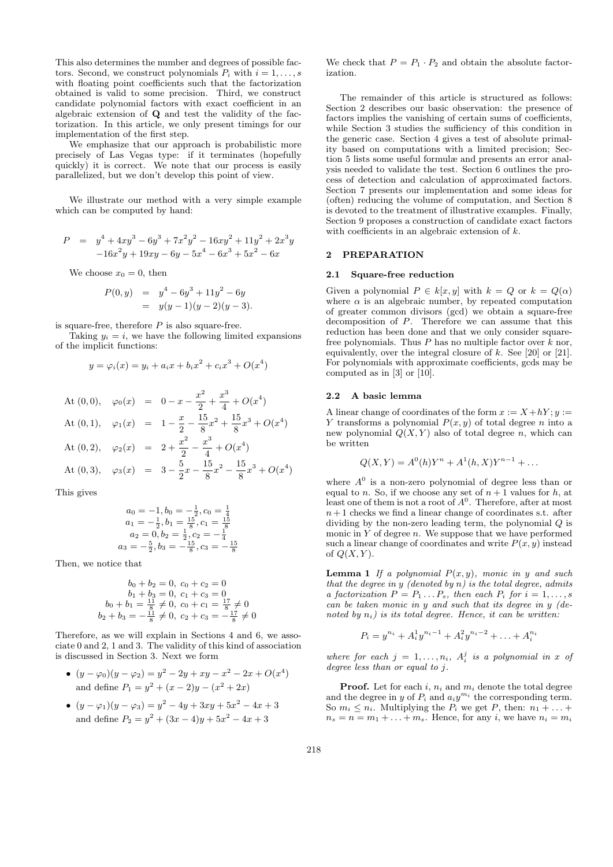This also determines the number and degrees of possible factors. Second, we construct polynomials  $P_i$  with  $i = 1, \ldots, s$ with floating point coefficients such that the factorization obtained is valid to some precision. Third, we construct candidate polynomial factors with exact coefficient in an algebraic extension of Q and test the validity of the factorization. In this article, we only present timings for our implementation of the first step.

We emphasize that our approach is probabilistic more precisely of Las Vegas type: if it terminates (hopefully quickly) it is correct. We note that our process is easily parallelized, but we don't develop this point of view.

We illustrate our method with a very simple example which can be computed by hand:

$$
P = y4 + 4xy3 - 6y3 + 7x2y2 - 16xy2 + 11y2 + 2x3y -16x2y + 19xy - 6y - 5x4 - 6x3 + 5x2 - 6x
$$

We choose  $x_0 = 0$ , then

$$
P(0, y) = y4 - 6y3 + 11y2 - 6y
$$
  
= y(y - 1)(y - 2)(y - 3).

is square-free, therefore  $P$  is also square-free.

Taking  $y_i = i$ , we have the following limited expansions of the implicit functions:

$$
y = \varphi_i(x) = y_i + a_i x + b_i x^2 + c_i x^3 + O(x^4)
$$

At (0,0), 
$$
\varphi_0(x) = 0 - x - \frac{x^2}{2} + \frac{x^3}{4} + O(x^4)
$$
  
\nAt (0,1),  $\varphi_1(x) = 1 - \frac{x}{2} - \frac{15}{8}x^2 + \frac{15}{8}x^3 + O(x^4)$   
\nAt (0,2),  $\varphi_2(x) = 2 + \frac{x^2}{2} - \frac{x^3}{4} + O(x^4)$   
\nAt (0,3),  $\varphi_3(x) = 3 - \frac{5}{2}x - \frac{15}{8}x^2 - \frac{15}{8}x^3 + O(x^4)$ 

This gives

$$
a_0 = -1, b_0 = -\frac{1}{2}, c_0 = \frac{1}{4}
$$
  
\n
$$
a_1 = -\frac{1}{2}, b_1 = \frac{15}{8}, c_1 = \frac{15}{8}
$$
  
\n
$$
a_2 = 0, b_2 = \frac{1}{2}, c_2 = -\frac{1}{4}
$$
  
\n
$$
a_3 = -\frac{5}{2}, b_3 = -\frac{15}{8}, c_3 = -\frac{15}{8}
$$

Then, we notice that

$$
b_0 + b_2 = 0, c_0 + c_2 = 0
$$
  
\n
$$
b_1 + b_3 = 0, c_1 + c_3 = 0
$$
  
\n
$$
b_0 + b_1 = \frac{11}{8} \neq 0, c_0 + c_1 = \frac{17}{8} \neq 0
$$
  
\n
$$
b_2 + b_3 = -\frac{11}{8} \neq 0, c_2 + c_3 = -\frac{17}{8} \neq 0
$$

Therefore, as we will explain in Sections 4 and 6, we associate 0 and 2, 1 and 3. The validity of this kind of association is discussed in Section 3. Next we form

- $(y \varphi_0)(y \varphi_2) = y^2 2y + xy x^2 2x + O(x^4)$ and define  $P_1 = y^2 + (x - 2)y - (x^2 + 2x)$
- $(y \varphi_1)(y \varphi_3) = y^2 4y + 3xy + 5x^2 4x + 3$ and define  $P_2 = y^2 + (3x - 4)y + 5x^2 - 4x + 3$

We check that  $P = P_1 \cdot P_2$  and obtain the absolute factorization.

The remainder of this article is structured as follows: Section 2 describes our basic observation: the presence of factors implies the vanishing of certain sums of coefficients, while Section 3 studies the sufficiency of this condition in the generic case. Section 4 gives a test of absolute primality based on computations with a limited precision; Section 5 lists some useful formulæ and presents an error analysis needed to validate the test. Section 6 outlines the process of detection and calculation of approximated factors. Section 7 presents our implementation and some ideas for (often) reducing the volume of computation, and Section 8 is devoted to the treatment of illustrative examples. Finally, Section 9 proposes a construction of candidate exact factors with coefficients in an algebraic extension of  $k$ .

### 2 PREPARATION

### 2.1 Square-free reduction

Given a polynomial  $P \in k[x, y]$  with  $k = Q$  or  $k = Q(\alpha)$ where  $\alpha$  is an algebraic number, by repeated computation of greater common divisors (gcd) we obtain a square-free decomposition of  $P$ . Therefore we can assume that this reduction has been done and that we only consider squarefree polynomials. Thus  $P$  has no multiple factor over  $k$  nor, equivalently, over the integral closure of  $k$ . See [20] or [21]. For polynomials with approximate coefficients, gcds may be computed as in [3] or [10].

### 2.2 A basic lemma

A linear change of coordinates of the form  $x := X + hY$ ;  $y :=$ Y transforms a polynomial  $P(x, y)$  of total degree n into a new polynomial  $Q(X, Y)$  also of total degree n, which can be written

$$
Q(X, Y) = A^{0}(h)Y^{n} + A^{1}(h, X)Y^{n-1} + \dots
$$

where  $A^0$  is a non-zero polynomial of degree less than or equal to n. So, if we choose any set of  $n + 1$  values for h, at least one of them is not a root of  $A^0$ . Therefore, after at most  $n+1$  checks we find a linear change of coordinates s.t. after dividing by the non-zero leading term, the polynomial Q is monic in  $Y$  of degree  $n$ . We suppose that we have performed such a linear change of coordinates and write  $P(x, y)$  instead of  $Q(X, Y)$ .

**Lemma 1** If a polynomial  $P(x, y)$ , monic in y and such that the degree in y (denoted by n) is the total degree, admits a factorization  $P = P_1 \dots P_s$ , then each  $P_i$  for  $i = 1, \dots, s$ can be taken monic in y and such that its degree in y (denoted by  $n_i$ ) is its total degree. Hence, it can be written:

$$
P_i = y^{n_i} + A_i^1 y^{n_i - 1} + A_i^2 y^{n_i - 2} + \ldots + A_i^{n_i}
$$

where for each  $j = 1, ..., n_i$ ,  $A_i^j$  is a polynomial in x of degree less than or equal to j.

**Proof.** Let for each i,  $n_i$  and  $m_i$  denote the total degree and the degree in y of  $P_i$  and  $a_i y^{m_i}$  the corresponding term. So  $m_i \leq n_i$ . Multiplying the  $P_i$  we get P, then:  $n_1 + \ldots +$  $n_s = n = m_1 + \ldots + m_s$ . Hence, for any *i*, we have  $n_i = m_i$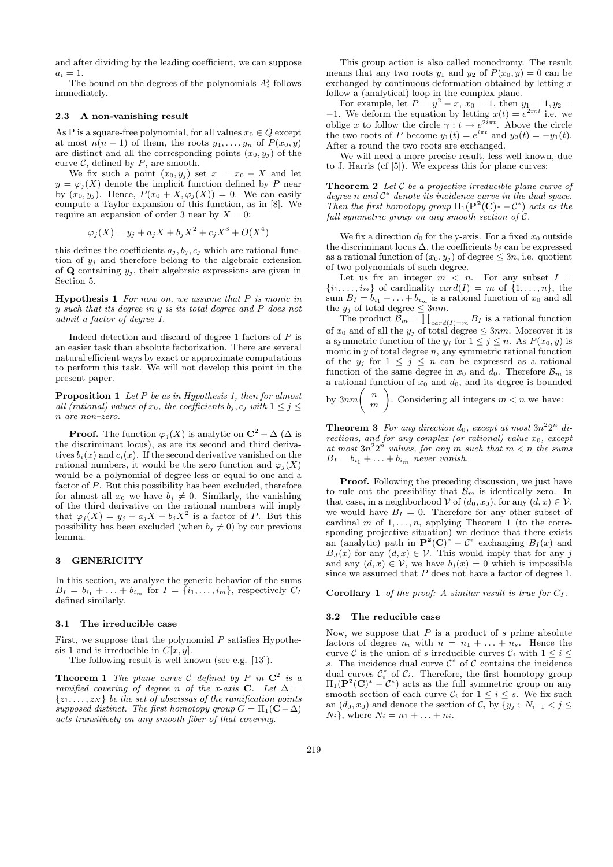and after dividing by the leading coefficient, we can suppose  $a_i = 1$ .

The bound on the degrees of the polynomials  $A_i^j$  follows immediately.

### 2.3 A non-vanishing result

As P is a square-free polynomial, for all values  $x_0 \in Q$  except at most  $n(n-1)$  of them, the roots  $y_1, \ldots, y_n$  of  $P(x_0, y)$ are distinct and all the corresponding points  $(x_0, y_j)$  of the curve  $C$ , defined by  $P$ , are smooth.

We fix such a point  $(x_0, y_j)$  set  $x = x_0 + X$  and let  $y = \varphi_j(X)$  denote the implicit function defined by P near by  $(x_0, y_j)$ . Hence,  $P(x_0 + X, \varphi_j(X)) = 0$ . We can easily compute a Taylor expansion of this function, as in [8]. We require an expansion of order 3 near by  $X = 0$ :

$$
\varphi_j(X) = y_j + a_j X + b_j X^2 + c_j X^3 + O(X^4)
$$

this defines the coefficients  $a_j, b_j, c_j$  which are rational function of  $y_i$  and therefore belong to the algebraic extension of **Q** containing  $y_i$ , their algebraic expressions are given in Section 5.

**Hypothesis 1** For now on, we assume that  $P$  is monic in  $y$  such that its degree in  $y$  is its total degree and  $P$  does not admit a factor of degree 1.

Indeed detection and discard of degree  $1$  factors of  $P$  is an easier task than absolute factorization. There are several natural efficient ways by exact or approximate computations to perform this task. We will not develop this point in the present paper.

**Proposition 1** Let P be as in Hypothesis 1, then for almost all (rational) values of  $x_0$ , the coefficients  $b_i, c_j$  with  $1 \leq j \leq$ n are non–zero.

**Proof.** The function  $\varphi_j(X)$  is analytic on  $\mathbb{C}^2 - \Delta(\Delta)$  is the discriminant locus), as are its second and third derivatives  $b_i(x)$  and  $c_i(x)$ . If the second derivative vanished on the rational numbers, it would be the zero function and  $\varphi_i(X)$ would be a polynomial of degree less or equal to one and a factor of P. But this possibility has been excluded, therefore for almost all  $x_0$  we have  $b_j \neq 0$ . Similarly, the vanishing of the third derivative on the rational numbers will imply that  $\varphi_j(X) = y_j + a_j X + b_j X^2$  is a factor of P. But this possibility has been excluded (when  $b_j \neq 0$ ) by our previous lemma.

### 3 GENERICITY

In this section, we analyze the generic behavior of the sums  $B_I = b_{i_1} + \ldots + b_{i_m}$  for  $I = \{i_1, \ldots, i_m\}$ , respectively  $C_I$ defined similarly.

# 3.1 The irreducible case

First, we suppose that the polynomial  $P$  satisfies Hypothesis 1 and is irreducible in  $C[x, y]$ .

The following result is well known (see e.g. [13]).

**Theorem 1** The plane curve C defined by P in  $\mathbb{C}^2$  is a ramified covering of degree n of the x-axis C. Let  $\Delta$  =  $\{z_1, \ldots, z_N\}$  be the set of abscissas of the ramification points supposed distinct. The first homotopy group  $G = \Pi_1(\hat{\mathbf{C}} - \Delta)$ acts transitively on any smooth fiber of that covering.

This group action is also called monodromy. The result means that any two roots  $y_1$  and  $y_2$  of  $P(x_0, y) = 0$  can be exchanged by continuous deformation obtained by letting  $x$ follow a (analytical) loop in the complex plane.

For example, let  $P = y^2 - x$ ,  $x_0 = 1$ , then  $y_1 = 1$ ,  $y_2 =$ −1. We deform the equation by letting  $x(t) = e^{2i\pi t}$  i.e. we oblige x to follow the circle  $\gamma : t \to e^{2i\pi t}$ . Above the circle the two roots of P become  $y_1(t) = e^{i\pi t}$  and  $y_2(t) = -y_1(t)$ . After a round the two roots are exchanged.

We will need a more precise result, less well known, due to J. Harris (cf [5]). We express this for plane curves:

**Theorem 2** Let  $C$  be a projective irreducible plane curve of degree  $n$  and  $C^*$  denote its incidence curve in the dual space. Then the first homotopy group  $\Pi_1(\mathbf{P}^2(\mathbf{C})* - \mathcal{C}^*)$  acts as the full symmetric group on any smooth section of C.

We fix a direction  $d_0$  for the y-axis. For a fixed  $x_0$  outside the discriminant locus  $\Delta$ , the coefficients  $b_i$  can be expressed as a rational function of  $(x_0, y_j)$  of degree  $\leq 3n$ , i.e. quotient of two polynomials of such degree.

Let us fix an integer  $m < n$ . For any subset  $I =$  $\{i_1, \ldots, i_m\}$  of cardinality  $card(I) = m$  of  $\{1, \ldots, n\}$ , the sum  $B_I = b_{i_1} + \ldots + b_{i_m}$  is a rational function of  $x_0$  and all the  $y_j$  of total degree  $\leq 3nm$ .

The product  $\mathcal{B}_m = \prod_{card(I)=m} B_I$  is a rational function of  $x_0$  and of all the  $y_j$  of total degree  $\leq 3nm$ . Moreover it is a symmetric function of the  $y_j$  for  $1 \leq j \leq n$ . As  $P(x_0, y)$  is monic in  $y$  of total degree  $n$ , any symmetric rational function of the  $y_j$  for  $1 \leq j \leq n$  can be expressed as a rational function of the same degree in  $x_0$  and  $d_0$ . Therefore  $\mathcal{B}_m$  is a rational function of  $x_0$  and  $d_0$ , and its degree is bounded

by  $3nm\binom{n}{m}$  $\,n$ . Considering all integers  $m < n$  we have:

**Theorem 3** For any direction  $d_0$ , except at most  $3n^22^n$  directions, and for any complex (or rational) value  $x_0$ , except at most  $3n^22^n$  values, for any m such that  $m < n$  the sums  $B_I = b_{i_1} + \ldots + b_{i_m}$  never vanish.

Proof. Following the preceding discussion, we just have to rule out the possibility that  $\mathcal{B}_m$  is identically zero. In that case, in a neighborhood V of  $(d_0, x_0)$ , for any  $(d, x) \in V$ , we would have  $B_I = 0$ . Therefore for any other subset of cardinal m of  $1, \ldots, n$ , applying Theorem 1 (to the corresponding projective situation) we deduce that there exists an (analytic) path in  $\mathbf{P}^2(\mathbf{C})^* - \mathcal{C}^*$  exchanging  $B_I(x)$  and  $B_J(x)$  for any  $(d, x) \in \mathcal{V}$ . This would imply that for any j and any  $(d, x) \in V$ , we have  $b_i(x) = 0$  which is impossible since we assumed that P does not have a factor of degree 1.

**Corollary 1** of the proof: A similar result is true for  $C_I$ .

#### 3.2 The reducible case

Now, we suppose that  $P$  is a product of  $s$  prime absolute factors of degree  $n_i$  with  $n = n_1 + \ldots + n_s$ . Hence the curve C is the union of s irreducible curves  $C_i$  with  $1 \leq i \leq$ s. The incidence dual curve  $\mathcal{C}^*$  of  $\mathcal C$  contains the incidence dual curves  $\mathcal{C}_i^*$  of  $\mathcal{C}_i$ . Therefore, the first homotopy group  $\Pi_1(\mathbf{P}^2(\mathbf{C})^* - \mathcal{C}^*)$  acts as the full symmetric group on any smooth section of each curve  $\mathcal{C}_i$  for  $1 \leq i \leq s$ . We fix such an  $(d_0, x_0)$  and denote the section of  $C_i$  by  $\{y_j; N_{i-1} < j \leq j$  $N_i$ , where  $N_i = n_1 + ... + n_i$ .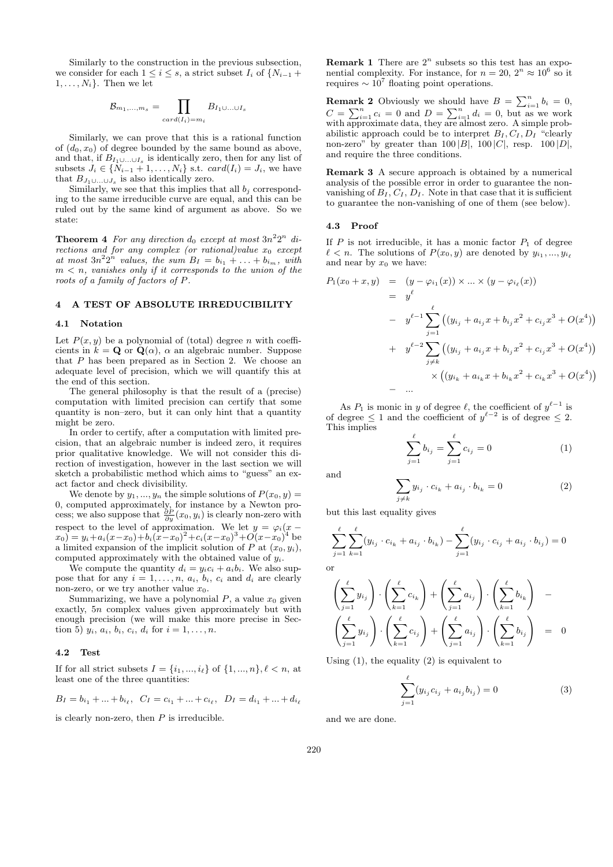Similarly to the construction in the previous subsection, we consider for each  $1 \leq i \leq s$ , a strict subset  $I_i$  of  $\{N_{i-1}+$  $1, \ldots, N_i$ . Then we let

$$
B_{m_1,\ldots,m_s} = \prod_{card(I_i)=m_i} B_{I_1\cup\ldots\cup I_s}
$$

Similarly, we can prove that this is a rational function of  $(d_0, x_0)$  of degree bounded by the same bound as above, and that, if  $B_{I_1 \cup \ldots \cup I_s}$  is identically zero, then for any list of subsets  $J_i \in \{N_{i-1} + 1, \ldots, N_i\}$  s.t.  $card(I_i) = J_i$ , we have that  $B_{J_1\cup \ldots \cup J_s}$  is also identically zero.

Similarly, we see that this implies that all  $b_i$  corresponding to the same irreducible curve are equal, and this can be ruled out by the same kind of argument as above. So we state:

**Theorem 4** For any direction  $d_0$  except at most  $3n^22^n$  directions and for any complex (or rational)value  $x_0$  except at most  $3n^22^n$  values, the sum  $B_I = b_{i_1} + \ldots + b_{i_m}$ , with  $m < n$ , vanishes only if it corresponds to the union of the roots of a family of factors of P.

### 4 A TEST OF ABSOLUTE IRREDUCIBILITY

## 4.1 Notation

Let  $P(x, y)$  be a polynomial of (total) degree n with coefficients in  $k = \mathbf{Q}$  or  $\mathbf{Q}(\alpha)$ ,  $\alpha$  an algebraic number. Suppose that  $P$  has been prepared as in Section 2. We choose an adequate level of precision, which we will quantify this at the end of this section.

The general philosophy is that the result of a (precise) computation with limited precision can certify that some quantity is non–zero, but it can only hint that a quantity might be zero.

In order to certify, after a computation with limited precision, that an algebraic number is indeed zero, it requires prior qualitative knowledge. We will not consider this direction of investigation, however in the last section we will sketch a probabilistic method which aims to "guess" an exact factor and check divisibility.

We denote by  $y_1, ..., y_n$  the simple solutions of  $P(x_0, y) =$ 0, computed approximately, for instance by a Newton process; we also suppose that  $\frac{\partial P}{\partial y}(x_0, y_i)$  is clearly non-zero with respect to the level of approximation. We let  $y = \varphi_i(x (x_0) = y_i + a_i(x-x_0) + b_i(x-x_0)^2 + c_i(x-x_0)^3 + O(x-x_0)^4$  be a limited expansion of the implicit solution of P at  $(x_0, y_i)$ , computed approximately with the obtained value of  $y_i$ .

We compute the quantity  $d_i = y_i c_i + a_i b_i$ . We also suppose that for any  $i = 1, \ldots, n, a_i, b_i, c_i$  and  $d_i$  are clearly non-zero, or we try another value  $x_0$ .

Summarizing, we have a polynomial  $P$ , a value  $x_0$  given exactly, 5n complex values given approximately but with enough precision (we will make this more precise in Section 5)  $y_i, a_i, b_i, c_i, d_i$  for  $i = 1, ..., n$ .

#### 4.2 Test

If for all strict subsets  $I = \{i_1, ..., i_\ell\}$  of  $\{1, ..., n\}, \ell < n$ , at least one of the three quantities:

$$
B_I = b_{i_1} + \dots + b_{i_\ell}, \ \ C_I = c_{i_1} + \dots + c_{i_\ell}, \ \ D_I = d_{i_1} + \dots + d_{i_\ell}
$$

is clearly non-zero, then  $P$  is irreducible.

**Remark 1** There are  $2^n$  subsets so this test has an exponential complexity. For instance, for  $n = 20$ ,  $2^n \approx 10^6$  so it requires  $\sim 10^7$  floating point operations.

**Remark 2** Obviously we should have  $B = \sum_{i=1}^{n} b_i = 0$ ,  $C = \sum_{i=1}^{n} c_i = 0$  and  $D = \sum_{i=1}^{n} d_i = 0$ , but as we work with approximate data, they are almost zero. A simple probabilistic approach could be to interpret  $B_I, C_I, D_I$  "clearly non-zero" by greater than  $100 |B|$ ,  $100 |C|$ , resp.  $100 |D|$ , and require the three conditions.

Remark 3 A secure approach is obtained by a numerical analysis of the possible error in order to guarantee the nonvanishing of  $B_I, C_I, D_I$ . Note in that case that it is sufficient to guarantee the non-vanishing of one of them (see below).

#### 4.3 Proof

If  $P$  is not irreducible, it has a monic factor  $P_1$  of degree  $\ell < n$ . The solutions of  $P(x_0, y)$  are denoted by  $y_{i_1}, ..., y_{i_\ell}$ and near by  $x_0$  we have:

$$
P_1(x_0 + x, y) = (y - \varphi_{i_1}(x)) \times ... \times (y - \varphi_{i_\ell}(x))
$$
  
\n
$$
= y^{\ell}
$$
  
\n
$$
- y^{\ell-1} \sum_{j=1}^{\ell} ((y_{i_j} + a_{i_j}x + b_{i_j}x^2 + c_{i_j}x^3 + O(x^4))
$$
  
\n
$$
+ y^{\ell-2} \sum_{j \neq k} ((y_{i_j} + a_{i_j}x + b_{i_j}x^2 + c_{i_j}x^3 + O(x^4))
$$
  
\n
$$
- ...
$$

As  $P_1$  is monic in y of degree  $\ell$ , the coefficient of  $y^{\ell-1}$  is of degree  $\leq 1$  and the coefficient of  $y^{\ell-2}$  is of degree  $\leq 2$ . This implies

$$
\sum_{j=1}^{\ell} b_{i_j} = \sum_{j=1}^{\ell} c_{i_j} = 0
$$
 (1)

and

$$
\sum_{j \neq k} y_{i_j} \cdot c_{i_k} + a_{i_j} \cdot b_{i_k} = 0 \tag{2}
$$

but this last equality gives

$$
\sum_{j=1}^{\ell} \sum_{k=1}^{\ell} (y_{i_j} \cdot c_{i_k} + a_{i_j} \cdot b_{i_k}) - \sum_{j=1}^{\ell} (y_{i_j} \cdot c_{i_j} + a_{i_j} \cdot b_{i_j}) = 0
$$
 or

$$
\left(\sum_{j=1}^{\ell} y_{i_j}\right) \cdot \left(\sum_{k=1}^{\ell} c_{i_k}\right) + \left(\sum_{j=1}^{\ell} a_{i_j}\right) \cdot \left(\sum_{k=1}^{\ell} b_{i_k}\right) - \left(\sum_{j=1}^{\ell} y_{i_j}\right) \cdot \left(\sum_{k=1}^{\ell} c_{i_j}\right) + \left(\sum_{j=1}^{\ell} a_{i_j}\right) \cdot \left(\sum_{k=1}^{\ell} b_{i_j}\right) = 0
$$

Using  $(1)$ , the equality  $(2)$  is equivalent to

$$
\sum_{j=1}^{\ell} (y_{i_j} c_{i_j} + a_{i_j} b_{i_j}) = 0
$$
\n(3)

and we are done.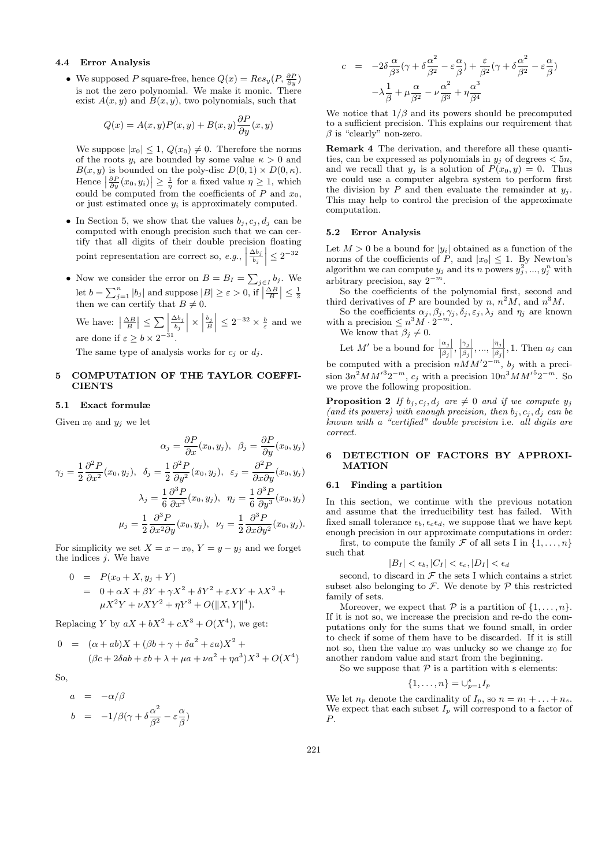# 4.4 Error Analysis

• We supposed P square-free, hence  $Q(x) = Res_y(P, \frac{\partial P}{\partial y})$ is not the zero polynomial. We make it monic. There exist  $A(x, y)$  and  $B(x, y)$ , two polynomials, such that

$$
Q(x) = A(x, y)P(x, y) + B(x, y)\frac{\partial P}{\partial y}(x, y)
$$

We suppose  $|x_0| \leq 1$ ,  $Q(x_0) \neq 0$ . Therefore the norms of the roots  $y_i$  are bounded by some value  $\kappa > 0$  and  $B(x, y)$  is bounded on the poly-disc  $D(0, 1) \times D(0, \kappa)$ . Hence  $\left|\frac{\partial P}{\partial y}(x_0, y_i)\right| \geq \frac{1}{\eta}$  for a fixed value  $\eta \geq 1$ , which could be computed from the coefficients of  $P$  and  $x_0$ , or just estimated once  $y_i$  is approximately computed.

- In Section 5, we show that the values  $b_i, c_i, d_i$  can be computed with enough precision such that we can certify that all digits of their double precision floating point representation are correct so,  $e.g.,$  $\Delta b_j$  $\left| \frac{\Delta b_j}{b_j} \right| \leq 2^{-32}$
- Now we consider the error on  $B = B_I = \sum_{j \in I} b_j$ . We let  $b = \sum_{j=1}^{n} |b_j|$  and suppose  $|B| \ge \varepsilon > 0$ , if  $\left|\frac{\Delta B}{B}\right| \le \frac{1}{2}$ <br>then we can certify that  $B \ne 0$ .

We have:  $\left|\frac{\Delta B}{B}\right| \leq \sum$  $\Delta b_j$  $\frac{\Delta b_j}{b_j}$   $\times$  $\left| \frac{b_j}{B} \right| \leq 2^{-32} \times \frac{b}{\varepsilon}$  and we are done if  $\varepsilon \geq b \times 2^{-31}$ .

The same type of analysis works for  $c_i$  or  $d_i$ .

# 5 COMPUTATION OF THE TAYLOR COEFFI-**CIENTS**

# 5.1 Exact formulæ

Given  $x_0$  and  $y_i$  we let

$$
\alpha_j = \frac{\partial P}{\partial x}(x_0, y_j), \quad \beta_j = \frac{\partial P}{\partial y}(x_0, y_j)
$$

$$
\gamma_j = \frac{1}{2} \frac{\partial^2 P}{\partial x^2}(x_0, y_j), \quad \delta_j = \frac{1}{2} \frac{\partial^2 P}{\partial y^2}(x_0, y_j), \quad \varepsilon_j = \frac{\partial^2 P}{\partial x \partial y}(x_0, y_j)
$$

$$
\lambda_j = \frac{1}{6} \frac{\partial^3 P}{\partial x^3}(x_0, y_j), \quad \eta_j = \frac{1}{6} \frac{\partial^3 P}{\partial y^3}(x_0, y_j)
$$

$$
\mu_j = \frac{1}{2} \frac{\partial^3 P}{\partial x^2 \partial y}(x_0, y_j), \quad \nu_j = \frac{1}{2} \frac{\partial^3 P}{\partial x \partial y^2}(x_0, y_j).
$$

For simplicity we set  $X = x - x_0$ ,  $Y = y - y_j$  and we forget the indices  $j$ . We have

$$
0 = P(x_0 + X, y_j + Y)
$$
  
= 0 + \alpha X + \beta Y + \gamma X^2 + \delta Y^2 + \varepsilon XY + \lambda X^3 + \mu X^2 Y + \nu XY^2 + \eta Y^3 + O(||X, Y||^4).

Replacing Y by  $aX + bX^2 + cX^3 + O(X^4)$ , we get:

$$
0 = (\alpha + ab)X + (\beta b + \gamma + \delta a^{2} + \varepsilon a)X^{2} +
$$
  

$$
(\beta c + 2\delta ab + \varepsilon b + \lambda + \mu a + \nu a^{2} + \eta a^{3})X^{3} + O(X^{4})
$$

So,

$$
a = -\alpha/\beta
$$
  
\n
$$
b = -1/\beta(\gamma + \delta \frac{\alpha^2}{\beta^2} - \varepsilon \frac{\alpha}{\beta})
$$

$$
c = -2\delta \frac{\alpha}{\beta^3} (\gamma + \delta \frac{\alpha^2}{\beta^2} - \varepsilon \frac{\alpha}{\beta}) + \frac{\varepsilon}{\beta^2} (\gamma + \delta \frac{\alpha^2}{\beta^2} - \varepsilon \frac{\alpha}{\beta})
$$

$$
-\lambda \frac{1}{\beta} + \mu \frac{\alpha}{\beta^2} - \nu \frac{\alpha^2}{\beta^3} + \eta \frac{\alpha^3}{\beta^4}
$$

We notice that  $1/\beta$  and its powers should be precomputed to a sufficient precision. This explains our requirement that  $\beta$  is "clearly" non-zero.

Remark 4 The derivation, and therefore all these quantities, can be expressed as polynomials in  $y_i$  of degrees  $\lt 5n$ , and we recall that  $y_j$  is a solution of  $P(x_0, y) = 0$ . Thus we could use a computer algebra system to perform first the division by P and then evaluate the remainder at  $y_i$ . This may help to control the precision of the approximate computation.

### 5.2 Error Analysis

Let  $M > 0$  be a bound for  $|y_i|$  obtained as a function of the norms of the coefficients of P, and  $|x_0| \leq 1$ . By Newton's algorithm we can compute  $y_j$  and its n powers  $y_j^2, ..., y_j^n$  with arbitrary precision, say  $2^{-m}$ .

So the coefficients of the polynomial first, second and third derivatives of P are bounded by n,  $n^2M$ , and  $n^3M$ .

So the coefficients  $\alpha_j, \beta_j, \gamma_j, \delta_j, \varepsilon_j, \lambda_j$  and  $\eta_j$  are known with a precision  $\leq n^3 M \cdot 2^{-m}$ .

We know that  $\beta_j \neq 0$ .

Let M' be a bound for  $\frac{|\alpha_j|}{|\beta_j|}, \frac{|\gamma_j|}{|\beta_j|}$  $\frac{|\gamma_j|}{|\beta_j|},...,\frac{|\eta_j|}{|\beta_j|}$  $\frac{|\eta_j|}{|\beta_j|}$ , 1. Then  $a_j$  can be computed with a precision  $nMM'2^{-m}$ ,  $b_j$  with a precision  $3n^2MM'^32^{-m}$ ,  $c_j$  with a precision  $10n^3MM'^52^{-m}$ . So we prove the following proposition.

**Proposition 2** If  $b_j, c_j, d_j$  are  $\neq 0$  and if we compute  $y_j$ (and its powers) with enough precision, then  $b_j, c_j, d_j$  can be known with a "certified" double precision i.e. all digits are correct.

# 6 DETECTION OF FACTORS BY APPROXI-MATION

### 6.1 Finding a partition

In this section, we continue with the previous notation and assume that the irreducibility test has failed. With fixed small tolerance  $\epsilon_b$ ,  $\epsilon_c \epsilon_d$ , we suppose that we have kept enough precision in our approximate computations in order:

first, to compute the family  $\mathcal F$  of all sets I in  $\{1,\ldots,n\}$ such that

$$
|B_I| < \epsilon_b, |C_I| < \epsilon_c, |D_I| < \epsilon_d
$$

second, to discard in  $\mathcal F$  the sets I which contains a strict subset also belonging to  $\mathcal F$ . We denote by  $\mathcal P$  this restricted family of sets.

Moreover, we expect that  $P$  is a partition of  $\{1, \ldots, n\}$ . If it is not so, we increase the precision and re-do the computations only for the sums that we found small, in order to check if some of them have to be discarded. If it is still not so, then the value  $x_0$  was unlucky so we change  $x_0$  for another random value and start from the beginning.

So we suppose that  $\mathcal P$  is a partition with  ${\bf s}$  elements:

$$
\{1,\ldots,n\}=\cup_{p=1}^s I_p
$$

We let  $n_p$  denote the cardinality of  $I_p$ , so  $n = n_1 + \ldots + n_s$ . We expect that each subset  $I_p$  will correspond to a factor of P.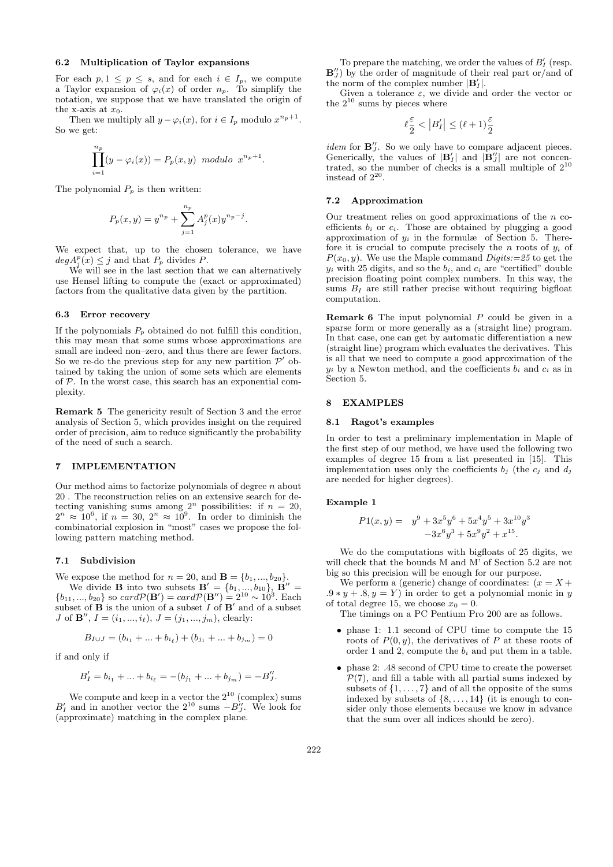### 6.2 Multiplication of Taylor expansions

For each  $p, 1 \leq p \leq s$ , and for each  $i \in I_p$ , we compute a Taylor expansion of  $\varphi_i(x)$  of order  $n_p$ . To simplify the notation, we suppose that we have translated the origin of the x-axis at  $x_0$ .

Then we multiply all  $y - \varphi_i(x)$ , for  $i \in I_p$  modulo  $x^{n_p+1}$ . So we get:

$$
\prod_{i=1}^{n_p} (y - \varphi_i(x)) = P_p(x, y) \text{ modulo } x^{n_p+1}.
$$

The polynomial  $P_p$  is then written:

$$
P_p(x,y) = y^{n_p} + \sum_{j=1}^{n_p} A_j^p(x) y^{n_p - j}.
$$

We expect that, up to the chosen tolerance, we have  $deg A_j^p(x) \leq j$  and that  $P_p$  divides P.

We will see in the last section that we can alternatively use Hensel lifting to compute the (exact or approximated) factors from the qualitative data given by the partition.

#### 6.3 Error recovery

If the polynomials  $P_p$  obtained do not fulfill this condition, this may mean that some sums whose approximations are small are indeed non–zero, and thus there are fewer factors. So we re-do the previous step for any new partition  $\mathcal{P}'$  obtained by taking the union of some sets which are elements of  $P$ . In the worst case, this search has an exponential complexity.

Remark 5 The genericity result of Section 3 and the error analysis of Section 5, which provides insight on the required order of precision, aim to reduce significantly the probability of the need of such a search.

#### 7 IMPLEMENTATION

Our method aims to factorize polynomials of degree n about 20 . The reconstruction relies on an extensive search for detecting vanishing sums among  $2^n$  possibilities: if  $n = 20$ ,  $2^n \approx 10^6$ , if  $n = 30$ ,  $2^n \approx 10^9$ . In order to diminish the combinatorial explosion in "most" cases we propose the following pattern matching method.

### 7.1 Subdivision

We expose the method for  $n = 20$ , and  $B = \{b_1, ..., b_{20}\}$ . We divide **B** into two subsets  $\mathbf{B}' = \{b_1, ..., b_{10}\}, \ \mathbf{B}'' = \{b_1, ..., b_{10}\}$  $\{b_{11},...,b_{20}\}\$ so card $\mathcal{P}(\mathbf{B}')=card\mathcal{P}(\mathbf{B}'')=2^{10}\sim 10^3$ . Each subset of **B** is the union of a subset  $I$  of **B**' and of a subset

$$
B_{I\cup J} = (b_{i_1} + ... + b_{i_\ell}) + (b_{j_1} + ... + b_{j_m}) = 0
$$

*J* of **B''**,  $I = (i_1, ..., i_\ell), J = (j_1, ..., j_m),$  clearly:

if and only if

$$
B'_{I} = b_{i_1} + \dots + b_{i_\ell} = -(b_{j_1} + \dots + b_{j_m}) = -B''_J.
$$

We compute and keep in a vector the  $2^{10}$  (complex) sums  $B'_I$  and in another vector the  $2^{10}$  sums  $-B''_J$ . We look for (approximate) matching in the complex plane.

To prepare the matching, we order the values of  $B'_I$  (resp.  $\mathbf{B}_{J}^{\prime\prime}$ ) by the order of magnitude of their real part or/and of the norm of the complex number  $|\mathbf{B}'_I|$ .

Given a tolerance  $\varepsilon$ , we divide and order the vector or the  $2^{10}$  sums by pieces where

$$
\ell\frac{\varepsilon}{2}<\left|B'_I\right|\leq(\ell+1)\frac{\varepsilon}{2}
$$

*idem* for  $\mathbf{B}_{J}^{"}$ . So we only have to compare adjacent pieces. Generically, the values of  $|\mathbf{B}'_I|$  and  $|\mathbf{B}''_J|$  are not concentrated, so the number of checks is a small multiple of  $2^{10}$ instead of  $2^{20}$ .

#### 7.2 Approximation

Our treatment relies on good approximations of the  $n$  coefficients  $b_i$  or  $c_i$ . Those are obtained by plugging a good approximation of  $y_i$  in the formulæ of Section 5. Therefore it is crucial to compute precisely the n roots of  $y_i$  of  $P(x_0, y)$ . We use the Maple command Digits:=25 to get the  $y_i$  with 25 digits, and so the  $b_i$ , and  $c_i$  are "certified" double precision floating point complex numbers. In this way, the sums  $B_I$  are still rather precise without requiring bigfloat computation.

**Remark 6** The input polynomial  $P$  could be given in a sparse form or more generally as a (straight line) program. In that case, one can get by automatic differentiation a new (straight line) program which evaluates the derivatives. This is all that we need to compute a good approximation of the  $y_i$  by a Newton method, and the coefficients  $b_i$  and  $c_i$  as in Section 5.

### 8 EXAMPLES

# 8.1 Ragot's examples

In order to test a preliminary implementation in Maple of the first step of our method, we have used the following two examples of degree 15 from a list presented in [15]. This implementation uses only the coefficients  $b_j$  (the  $c_j$  and  $d_j$ are needed for higher degrees).

#### Example 1

$$
P1(x,y) = y^9 + 3x^5y^6 + 5x^4y^5 + 3x^{10}y^3
$$
  

$$
-3x^6y^3 + 5x^9y^2 + x^{15}.
$$

We do the computations with bigfloats of 25 digits, we will check that the bounds M and M' of Section 5.2 are not big so this precision will be enough for our purpose.

We perform a (generic) change of coordinates:  $(x = X +$  $.9 * y + .8, y = Y$  in order to get a polynomial monic in y of total degree 15, we choose  $x_0 = 0$ .

The timings on a PC Pentium Pro 200 are as follows.

- phase 1: 1.1 second of CPU time to compute the 15 roots of  $P(0, y)$ , the derivatives of P at these roots of order 1 and 2, compute the  $b_i$  and put them in a table.
- phase 2: .48 second of CPU time to create the powerset  $P(7)$ , and fill a table with all partial sums indexed by subsets of  $\{1, \ldots, 7\}$  and of all the opposite of the sums indexed by subsets of  $\{8, \ldots, 14\}$  (it is enough to consider only those elements because we know in advance that the sum over all indices should be zero).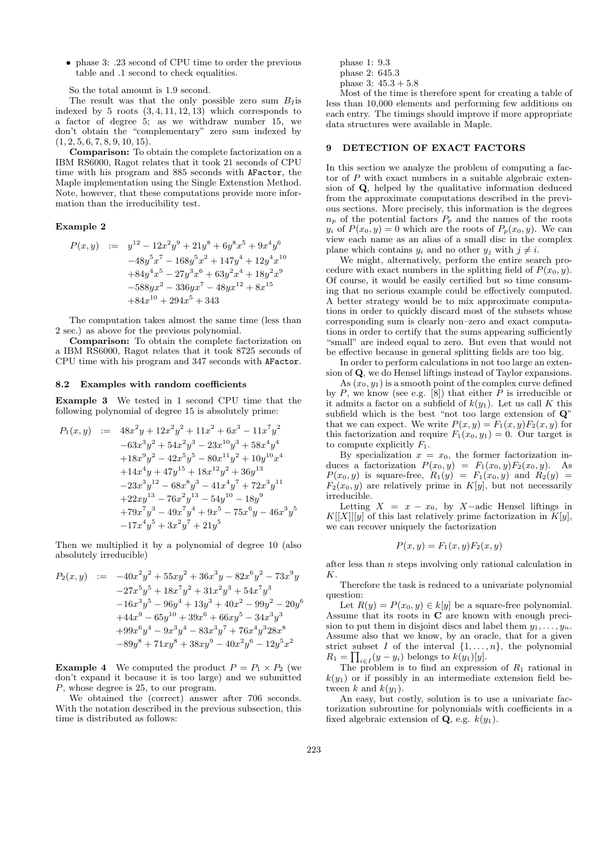• phase 3: .23 second of CPU time to order the previous table and .1 second to check equalities.

So the total amount is 1.9 second.

The result was that the only possible zero sum  $B<sub>I</sub>$  is indexed by 5 roots  $(3, 4, 11, 12, 13)$  which corresponds to a factor of degree 5; as we withdraw number 15, we don't obtain the "complementary" zero sum indexed by  $(1, 2, 5, 6, 7, 8, 9, 10, 15).$ 

Comparison: To obtain the complete factorization on a IBM RS6000, Ragot relates that it took 21 seconds of CPU time with his program and 885 seconds with AFactor, the Maple implementation using the Single Extenstion Method. Note, however, that these computations provide more information than the irreducibility test.

#### Example 2

$$
P(x,y) := y^{12} - 12x^2y^9 + 21y^8 + 6y^8x^5 + 9x^4y^6
$$
  
\n
$$
-48y^5x^7 - 168y^5x^2 + 147y^4 + 12y^4x^{10}
$$
  
\n
$$
+84y^4x^5 - 27y^3x^6 + 63y^2x^4 + 18y^2x^9
$$
  
\n
$$
-588yx^2 - 336yx^7 - 48yx^{12} + 8x^{15}
$$
  
\n
$$
+84x^{10} + 294x^5 + 343
$$

The computation takes almost the same time (less than 2 sec.) as above for the previous polynomial.

Comparison: To obtain the complete factorization on a IBM RS6000, Ragot relates that it took 8725 seconds of CPU time with his program and 347 seconds with AFactor.

#### 8.2 Examples with random coefficients

Example 3 We tested in 1 second CPU time that the following polynomial of degree 15 is absolutely prime:

$$
P_1(x,y) := 48x^2y + 12x^2y^2 + 11x^2 + 6x^3 - 11x^7y^2
$$
  
\n
$$
-63x^3y^2 + 54x^2y^3 - 23x^{10}y^3 + 58x^4y^4
$$
  
\n
$$
+18x^9y^2 - 42x^5y^5 - 80x^{11}y^2 + 10y^{10}x^4
$$
  
\n
$$
+14x^4y + 47y^{15} + 18x^{12}y^2 + 36y^{13}
$$
  
\n
$$
-23x^3y^{12} - 68x^8y^3 - 41x^4y^7 + 72x^3y^{11}
$$
  
\n
$$
+22xy^{13} - 76x^2y^{13} - 54y^{10} - 18y^9
$$
  
\n
$$
+79x^7y^3 - 49x^7y^4 + 9x^5 - 75x^6y - 46x^3y^5
$$
  
\n
$$
-17x^4y^5 + 3x^2y^7 + 21y^5
$$

Then we multiplied it by a polynomial of degree 10 (also absolutely irreducible)

$$
P_2(x,y) := -40x^2y^2 + 55xy^2 + 36x^3y - 82x^6y^2 - 73x^9y
$$
  
\n
$$
-27x^5y^5 + 18x^7y^2 + 31x^2y^3 + 54x^7y^3
$$
  
\n
$$
-16x^3y^5 - 96y^4 + 13y^3 + 40x^2 - 99y^2 - 20y^6
$$
  
\n
$$
+44x^9 - 65y^{10} + 39x^6 + 66xy^5 - 34x^3y^3
$$
  
\n
$$
+99x^6y^4 - 9x^3y^4 - 83x^3y^7 + 76x^4y^328x^8
$$
  
\n
$$
-89y^8 + 71xy^8 + 38xy^9 - 40x^2y^6 - 12y^5x^2
$$

**Example 4** We computed the product  $P = P_1 \times P_2$  (we don't expand it because it is too large) and we submitted P, whose degree is 25, to our program.

We obtained the (correct) answer after 706 seconds. With the notation described in the previous subsection, this time is distributed as follows:

phase 1: 9.3

$$
\frac{\text{phase 2: } 645.3}{\text{a} + 5.3} \approx 15.3 \times 10^{-4}
$$

phase 3:  $45.3 + 5.8$ 

Most of the time is therefore spent for creating a table of less than 10,000 elements and performing few additions on each entry. The timings should improve if more appropriate data structures were available in Maple.

# 9 DETECTION OF EXACT FACTORS

In this section we analyze the problem of computing a factor of P with exact numbers in a suitable algebraic extension of Q, helped by the qualitative information deduced from the approximate computations described in the previous sections. More precisely, this information is the degrees  $n_p$  of the potential factors  $P_p$  and the names of the roots  $y_i$  of  $P(x_0, y) = 0$  which are the roots of  $P_p(x_0, y)$ . We can view each name as an alias of a small disc in the complex plane which contains  $y_i$  and no other  $y_j$  with  $j \neq i$ .

We might, alternatively, perform the entire search procedure with exact numbers in the splitting field of  $P(x_0, y)$ . Of course, it would be easily certified but so time consuming that no serious example could be effectively computed. A better strategy would be to mix approximate computations in order to quickly discard most of the subsets whose corresponding sum is clearly non–zero and exact computations in order to certify that the sums appearing sufficiently "small" are indeed equal to zero. But even that would not be effective because in general splitting fields are too big.

In order to perform calculations in not too large an extension of Q, we do Hensel liftings instead of Taylor expansions.

As  $(x_0, y_1)$  is a smooth point of the complex curve defined by  $P$ , we know (see e.g. [8]) that either  $P$  is irreducible or it admits a factor on a subfield of  $k(y_1)$ . Let us call K this subfield which is the best "not too large extension of Q" that we can expect. We write  $P(x, y) = F_1(x, y)F_2(x, y)$  for this factorization and require  $F_1(x_0, y_1) = 0$ . Our target is to compute explicitly  $F_1$ .

By specialization  $x = x_0$ , the former factorization induces a factorization  $P(x_0, y) = F_1(x_0, y)F_2(x_0, y)$ . As  $P(x_0, y)$  is square-free,  $R_1(y) = F_1(x_0, y)$  and  $R_2(y) =$  $F_2(x_0, y)$  are relatively prime in  $K[y]$ , but not necessarily irreducible.

Letting  $X = x - x_0$ , by X-adic Hensel liftings in  $K[[X]][y]$  of this last relatively prime factorization in  $K[y]$ , we can recover uniquely the factorization

$$
P(x, y) = F_1(x, y) F_2(x, y)
$$

after less than  $n$  steps involving only rational calculation in K.

Therefore the task is reduced to a univariate polynomial question:

Let  $R(y) = P(x_0, y) \in k[y]$  be a square-free polynomial. Assume that its roots in  $C$  are known with enough precision to put them in disjoint discs and label them  $y_1, \ldots, y_n$ . Assume also that we know, by an oracle, that for a given strict subset I of the interval  $\{1, \ldots, n\}$ , the polynomial  $R_1 = \prod_{i \in I} (y - y_i)$  belongs to  $k(y_1)[y]$ .

The problem is to find an expression of  $R_1$  rational in  $k(y_1)$  or if possibly in an intermediate extension field between k and  $k(y_1)$ .

An easy, but costly, solution is to use a univariate factorization subroutine for polynomials with coefficients in a fixed algebraic extension of **Q**, e.g.  $k(y_1)$ .